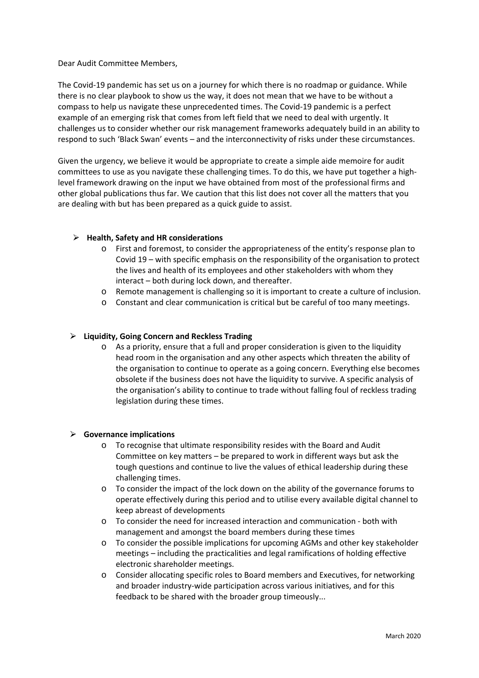Dear Audit Committee Members,

The Covid-19 pandemic has set us on a journey for which there is no roadmap or guidance. While there is no clear playbook to show us the way, it does not mean that we have to be without a compass to help us navigate these unprecedented times. The Covid-19 pandemic is a perfect example of an emerging risk that comes from left field that we need to deal with urgently. It challenges us to consider whether our risk management frameworks adequately build in an ability to respond to such 'Black Swan' events – and the interconnectivity of risks under these circumstances.

Given the urgency, we believe it would be appropriate to create a simple aide memoire for audit committees to use as you navigate these challenging times. To do this, we have put together a highlevel framework drawing on the input we have obtained from most of the professional firms and other global publications thus far. We caution that this list does not cover all the matters that you are dealing with but has been prepared as a quick guide to assist.

## ⮚ **Health, Safety and HR considerations**

- o First and foremost, to consider the appropriateness of the entity's response plan to Covid 19 – with specific emphasis on the responsibility of the organisation to protect the lives and health of its employees and other stakeholders with whom they interact – both during lock down, and thereafter.
- o Remote management is challenging so it is important to create a culture of inclusion.
- o Constant and clear communication is critical but be careful of too many meetings.

## ⮚ **Liquidity, Going Concern and Reckless Trading**

o As a priority, ensure that a full and proper consideration is given to the liquidity head room in the organisation and any other aspects which threaten the ability of the organisation to continue to operate as a going concern. Everything else becomes obsolete if the business does not have the liquidity to survive. A specific analysis of the organisation's ability to continue to trade without falling foul of reckless trading legislation during these times.

## ⮚ **Governance implications**

- o To recognise that ultimate responsibility resides with the Board and Audit Committee on key matters – be prepared to work in different ways but ask the tough questions and continue to live the values of ethical leadership during these challenging times.
- o To consider the impact of the lock down on the ability of the governance forums to operate effectively during this period and to utilise every available digital channel to keep abreast of developments
- o To consider the need for increased interaction and communication both with management and amongst the board members during these times
- o To consider the possible implications for upcoming AGMs and other key stakeholder meetings – including the practicalities and legal ramifications of holding effective electronic shareholder meetings.
- o Consider allocating specific roles to Board members and Executives, for networking and broader industry-wide participation across various initiatives, and for this feedback to be shared with the broader group timeously...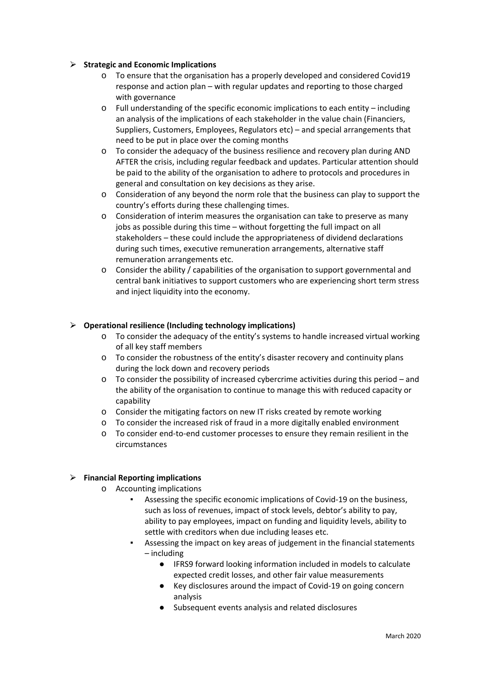## ⮚ **Strategic and Economic Implications**

- o To ensure that the organisation has a properly developed and considered Covid19 response and action plan – with regular updates and reporting to those charged with governance
- $\circ$  Full understanding of the specific economic implications to each entity including an analysis of the implications of each stakeholder in the value chain (Financiers, Suppliers, Customers, Employees, Regulators etc) – and special arrangements that need to be put in place over the coming months
- o To consider the adequacy of the business resilience and recovery plan during AND AFTER the crisis, including regular feedback and updates. Particular attention should be paid to the ability of the organisation to adhere to protocols and procedures in general and consultation on key decisions as they arise.
- o Consideration of any beyond the norm role that the business can play to support the country's efforts during these challenging times.
- o Consideration of interim measures the organisation can take to preserve as many jobs as possible during this time – without forgetting the full impact on all stakeholders – these could include the appropriateness of dividend declarations during such times, executive remuneration arrangements, alternative staff remuneration arrangements etc.
- o Consider the ability / capabilities of the organisation to support governmental and central bank initiatives to support customers who are experiencing short term stress and inject liquidity into the economy.

# ⮚ **Operational resilience (Including technology implications)**

- o To consider the adequacy of the entity's systems to handle increased virtual working of all key staff members
- o To consider the robustness of the entity's disaster recovery and continuity plans during the lock down and recovery periods
- $\circ$  To consider the possibility of increased cybercrime activities during this period and the ability of the organisation to continue to manage this with reduced capacity or capability
- o Consider the mitigating factors on new IT risks created by remote working
- o To consider the increased risk of fraud in a more digitally enabled environment
- o To consider end-to-end customer processes to ensure they remain resilient in the circumstances

## ⮚ **Financial Reporting implications**

- o Accounting implications
	- Assessing the specific economic implications of Covid-19 on the business, such as loss of revenues, impact of stock levels, debtor's ability to pay, ability to pay employees, impact on funding and liquidity levels, ability to settle with creditors when due including leases etc.
	- Assessing the impact on key areas of judgement in the financial statements – including
		- IFRS9 forward looking information included in models to calculate expected credit losses, and other fair value measurements
		- Key disclosures around the impact of Covid-19 on going concern analysis
		- Subsequent events analysis and related disclosures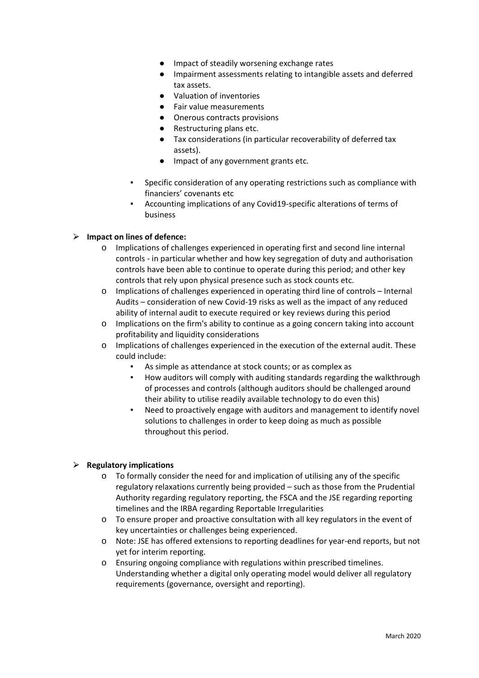- Impact of steadily worsening exchange rates
- Impairment assessments relating to intangible assets and deferred tax assets.
- Valuation of inventories
- Fair value measurements
- Onerous contracts provisions
- Restructuring plans etc.
- Tax considerations (in particular recoverability of deferred tax assets).
- Impact of any government grants etc.
- Specific consideration of any operating restrictions such as compliance with financiers' covenants etc
- Accounting implications of any Covid19-specific alterations of terms of business

# ⮚ **Impact on lines of defence:**

- o Implications of challenges experienced in operating first and second line internal controls - in particular whether and how key segregation of duty and authorisation controls have been able to continue to operate during this period; and other key controls that rely upon physical presence such as stock counts etc.
- o Implications of challenges experienced in operating third line of controls Internal Audits – consideration of new Covid-19 risks as well as the impact of any reduced ability of internal audit to execute required or key reviews during this period
- o Implications on the firm's ability to continue as a going concern taking into account profitability and liquidity considerations
- o Implications of challenges experienced in the execution of the external audit. These could include:
	- As simple as attendance at stock counts; or as complex as
	- How auditors will comply with auditing standards regarding the walkthrough of processes and controls (although auditors should be challenged around their ability to utilise readily available technology to do even this)
	- Need to proactively engage with auditors and management to identify novel solutions to challenges in order to keep doing as much as possible throughout this period.

## ⮚ **Regulatory implications**

- o To formally consider the need for and implication of utilising any of the specific regulatory relaxations currently being provided – such as those from the Prudential Authority regarding regulatory reporting, the FSCA and the JSE regarding reporting timelines and the IRBA regarding Reportable Irregularities
- o To ensure proper and proactive consultation with all key regulators in the event of key uncertainties or challenges being experienced.
- o Note: JSE has offered extensions to reporting deadlines for year-end reports, but not yet for interim reporting.
- o Ensuring ongoing compliance with regulations within prescribed timelines. Understanding whether a digital only operating model would deliver all regulatory requirements (governance, oversight and reporting).